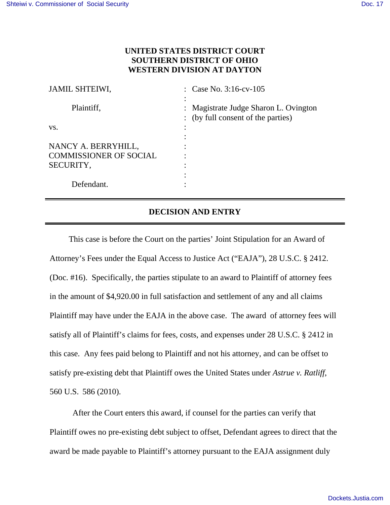## **UNITED STATES DISTRICT COURT SOUTHERN DISTRICT OF OHIO WESTERN DIVISION AT DAYTON**

| <b>JAMIL SHTEIWI,</b>         | : Case No. $3:16$ -cv- $105$                                                |
|-------------------------------|-----------------------------------------------------------------------------|
| Plaintiff,                    | : Magistrate Judge Sharon L. Ovington<br>: (by full consent of the parties) |
| VS.                           |                                                                             |
|                               |                                                                             |
| NANCY A. BERRYHILL,           |                                                                             |
| <b>COMMISSIONER OF SOCIAL</b> |                                                                             |
| SECURITY,                     |                                                                             |
|                               |                                                                             |
| Defendant.                    |                                                                             |

## **DECISION AND ENTRY**

This case is before the Court on the parties' Joint Stipulation for an Award of Attorney's Fees under the Equal Access to Justice Act ("EAJA"), 28 U.S.C. § 2412. (Doc. #16). Specifically, the parties stipulate to an award to Plaintiff of attorney fees in the amount of \$4,920.00 in full satisfaction and settlement of any and all claims Plaintiff may have under the EAJA in the above case. The award of attorney fees will satisfy all of Plaintiff's claims for fees, costs, and expenses under 28 U.S.C. § 2412 in this case. Any fees paid belong to Plaintiff and not his attorney, and can be offset to satisfy pre-existing debt that Plaintiff owes the United States under *Astrue v. Ratliff*, 560 U.S. 586 (2010).

After the Court enters this award, if counsel for the parties can verify that Plaintiff owes no pre-existing debt subject to offset, Defendant agrees to direct that the award be made payable to Plaintiff's attorney pursuant to the EAJA assignment duly